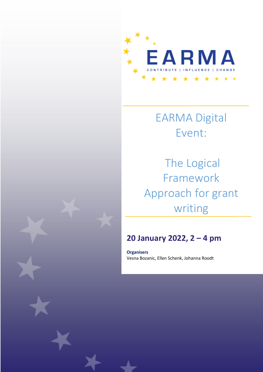

# EARMA Digital Event:

The Logical Framework Approach for grant writing

# **20 January 2022, 2 – 4 pm**

**Organisers** Vesna Bozanic, Ellen Schenk, Johanna Roodt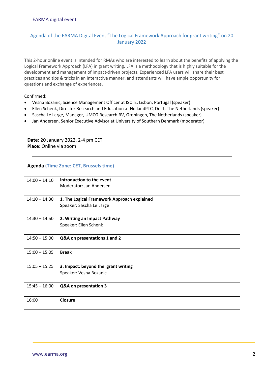## Agenda of the EARMA Digital Event "The Logical Framework Approach for grant writing" on 20 January 2022

This 2-hour online event is intended for RMAs who are interested to learn about the benefits of applying the Logical Framework Approach (LFA) in grant writing. LFA is a methodology that is highly suitable for the development and management of impact-driven projects. Experienced LFA users will share their best practices and tips & tricks in an interactive manner, and attendants will have ample opportunity for questions and exchange of experiences.

Confirmed:

- Vesna Bozanic, Science Management Officer at ISCTE, Lisbon, Portugal (speaker)
- Ellen Schenk, Director Research and Education at HollandPTC, Delft, The Netherlands (speaker)
- Sascha Le Large, Manager, UMCG Research BV, Groningen, The Netherlands (speaker)
- Jan Andersen, Senior Executive Advisor at University of Southern Denmark (moderator)

**Date**: 20 January 2022, 2-4 pm CET **Place**: Online via zoom

### **Agenda (Time Zone: CET, Brussels time)**

| $14:00 - 14:10$ | Introduction to the event<br>Moderator: Jan Andersen                    |
|-----------------|-------------------------------------------------------------------------|
| $14:10 - 14:30$ | 1. The Logical Framework Approach explained<br>Speaker: Sascha Le Large |
| $14:30 - 14:50$ | 2. Writing an Impact Pathway<br>Speaker: Ellen Schenk                   |
| $14:50 - 15:00$ | Q&A on presentations 1 and 2                                            |
| $15:00 - 15:05$ | <b>Break</b>                                                            |
| $15:05 - 15:25$ | 3. Impact: beyond the grant writing<br>Speaker: Vesna Bozanic           |
| $15:45 - 16:00$ | Q&A on presentation 3                                                   |
| 16:00           | <b>Closure</b>                                                          |